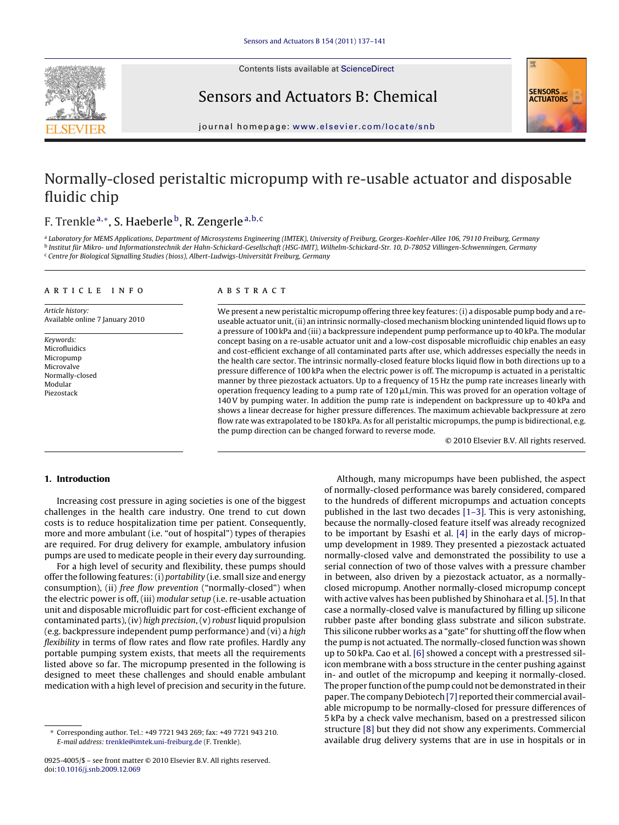

Contents lists available at [ScienceDirect](http://www.sciencedirect.com/science/journal/09254005)

Sensors and Actuators B: Chemical



journal homepage: [www.elsevier.com/locate/snb](http://www.elsevier.com/locate/snb)

# Normally-closed peristaltic micropump with re-usable actuator and disposable fluidic chip

# F. Trenkle<sup>a,∗</sup>, S. Haeberle<sup>b</sup>, R. Zengerle<sup>a,b,c</sup>

a Laboratory for MEMS Applications, Department of Microsystems Engineering (IMTEK), University of Freiburg, Georges-Koehler-Allee 106, 79110 Freiburg, Germany <sup>b</sup> Institut für Mikro- und Informationstechnik der Hahn-Schickard-Gesellschaft (HSG-IMIT), Wilhelm-Schickard-Str. 10, D-78052 Villingen-Schwenningen, Germany <sup>c</sup> Centre for Biological Signalling Studies (bioss), Albert-Ludwigs-Universität Freiburg, Germany

#### article info

Article history: Available online 7 January 2010

Keywords: Microfluidics Micropump Microvalve Normally-closed Modular Piezostack

## ABSTRACT

We present a new peristaltic micropump offering three key features: (i) a disposable pump body and a reuseable actuator unit, (ii) an intrinsic normally-closed mechanism blocking unintended liquid flows up to a pressure of 100 kPa and (iii) a backpressure independent pump performance up to 40 kPa. The modular concept basing on a re-usable actuator unit and a low-cost disposable microfluidic chip enables an easy and cost-efficient exchange of all contaminated parts after use, which addresses especially the needs in the health care sector. The intrinsic normally-closed feature blocks liquid flow in both directions up to a pressure difference of 100 kPa when the electric power is off. The micropump is actuated in a peristaltic manner by three piezostack actuators. Up to a frequency of 15 Hz the pump rate increases linearly with operation frequency leading to a pump rate of 120  $\mu$ L/min. This was proved for an operation voltage of 140 V by pumping water. In addition the pump rate is independent on backpressure up to 40 kPa and shows a linear decrease for higher pressure differences. The maximum achievable backpressure at zero flow rate was extrapolated to be 180 kPa. As for all peristaltic micropumps, the pump is bidirectional, e.g. the pump direction can be changed forward to reverse mode.

© 2010 Elsevier B.V. All rights reserved.

# **1. Introduction**

Increasing cost pressure in aging societies is one of the biggest challenges in the health care industry. One trend to cut down costs is to reduce hospitalization time per patient. Consequently, more and more ambulant (i.e. "out of hospital") types of therapies are required. For drug delivery for example, ambulatory infusion pumps are used to medicate people in their every day surrounding.

For a high level of security and flexibility, these pumps should offer the following features: (i) portability (i.e. small size and energy consumption), (ii) free flow prevention ("normally-closed") when the electric power is off, (iii) modular setup (i.e. re-usable actuation unit and disposable microfluidic part for cost-efficient exchange of contaminated parts), (iv) high precision, (v) robust liquid propulsion (e.g. backpressure independent pump performance) and (vi) a high flexibility in terms of flow rates and flow rate profiles. Hardly any portable pumping system exists, that meets all the requirements listed above so far. The micropump presented in the following is designed to meet these challenges and should enable ambulant medication with a high level of precision and security in the future.

Although, many micropumps have been published, the aspect of normally-closed performance was barely considered, compared to the hundreds of different micropumps and actuation concepts published in the last two decades [\[1–3\]. T](#page-4-0)his is very astonishing, because the normally-closed feature itself was already recognized to be important by Esashi et al. [\[4\]](#page-4-0) in the early days of micropump development in 1989. They presented a piezostack actuated normally-closed valve and demonstrated the possibility to use a serial connection of two of those valves with a pressure chamber in between, also driven by a piezostack actuator, as a normallyclosed micropump. Another normally-closed micropump concept with active valves has been published by Shinohara et al. [\[5\]. I](#page-4-0)n that case a normally-closed valve is manufactured by filling up silicone rubber paste after bonding glass substrate and silicon substrate. This silicone rubber works as a "gate" for shutting off the flow when the pump is not actuated. The normally-closed function was shown up to 50 kPa. Cao et al. [\[6\]](#page-4-0) showed a concept with a prestressed silicon membrane with a boss structure in the center pushing against in- and outlet of the micropump and keeping it normally-closed. The proper function of the pump could not be demonstrated in their paper. The company Debiotech [\[7\]](#page-4-0) reported their commercial available micropump to be normally-closed for pressure differences of 5 kPa by a check valve mechanism, based on a prestressed silicon structure [\[8\]](#page-4-0) but they did not show any experiments. Commercial available drug delivery systems that are in use in hospitals or in

<sup>∗</sup> Corresponding author. Tel.: +49 7721 943 269; fax: +49 7721 943 210. E-mail address: [trenkle@imtek.uni-freiburg.de](mailto:trenkle@imtek.uni-freiburg.de) (F. Trenkle).

<sup>0925-4005/\$ –</sup> see front matter © 2010 Elsevier B.V. All rights reserved. doi:[10.1016/j.snb.2009.12.069](dx.doi.org/10.1016/j.snb.2009.12.069)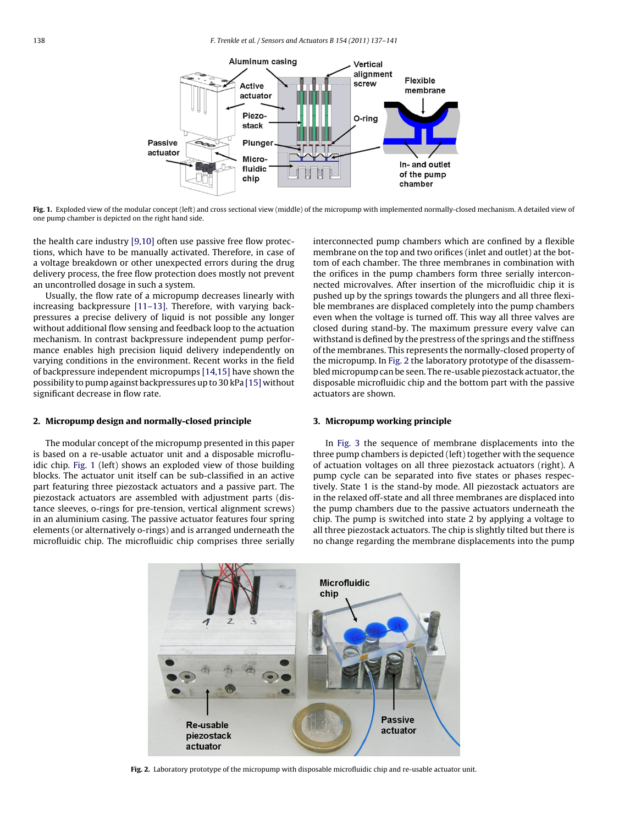

**Fig. 1.** Exploded view of the modular concept (left) and cross sectional view (middle) of the micropump with implemented normally-closed mechanism. A detailed view of one pump chamber is depicted on the right hand side.

the health care industry [\[9,10\]](#page-4-0) often use passive free flow protections, which have to be manually activated. Therefore, in case of a voltage breakdown or other unexpected errors during the drug delivery process, the free flow protection does mostly not prevent an uncontrolled dosage in such a system.

Usually, the flow rate of a micropump decreases linearly with increasing backpressure [\[11–13\].](#page-4-0) Therefore, with varying backpressures a precise delivery of liquid is not possible any longer without additional flow sensing and feedback loop to the actuation mechanism. In contrast backpressure independent pump performance enables high precision liquid delivery independently on varying conditions in the environment. Recent works in the field of backpressure independent micropumps [\[14,15\]](#page-4-0) have shown the possibility to pump against backpressures up to 30 kPa [\[15\]](#page-4-0) without significant decrease in flow rate.

### **2. Micropump design and normally-closed principle**

The modular concept of the micropump presented in this paper is based on a re-usable actuator unit and a disposable microfluidic chip. Fig. 1 (left) shows an exploded view of those building blocks. The actuator unit itself can be sub-classified in an active part featuring three piezostack actuators and a passive part. The piezostack actuators are assembled with adjustment parts (distance sleeves, o-rings for pre-tension, vertical alignment screws) in an aluminium casing. The passive actuator features four spring elements (or alternatively o-rings) and is arranged underneath the microfluidic chip. The microfluidic chip comprises three serially

interconnected pump chambers which are confined by a flexible membrane on the top and two orifices (inlet and outlet) at the bottom of each chamber. The three membranes in combination with the orifices in the pump chambers form three serially interconnected microvalves. After insertion of the microfluidic chip it is pushed up by the springs towards the plungers and all three flexible membranes are displaced completely into the pump chambers even when the voltage is turned off. This way all three valves are closed during stand-by. The maximum pressure every valve can withstand is defined by the prestress of the springs and the stiffness of the membranes. This represents the normally-closed property of the micropump. In Fig. 2 the laboratory prototype of the disassembled micropump can be seen. The re-usable piezostack actuator, the disposable microfluidic chip and the bottom part with the passive actuators are shown.

#### **3. Micropump working principle**

In [Fig. 3](#page-2-0) the sequence of membrane displacements into the three pump chambers is depicted (left) together with the sequence of actuation voltages on all three piezostack actuators (right). A pump cycle can be separated into five states or phases respectively. State 1 is the stand-by mode. All piezostack actuators are in the relaxed off-state and all three membranes are displaced into the pump chambers due to the passive actuators underneath the chip. The pump is switched into state 2 by applying a voltage to all three piezostack actuators. The chip is slightly tilted but there is no change regarding the membrane displacements into the pump



**Fig. 2.** Laboratory prototype of the micropump with disposable microfluidic chip and re-usable actuator unit.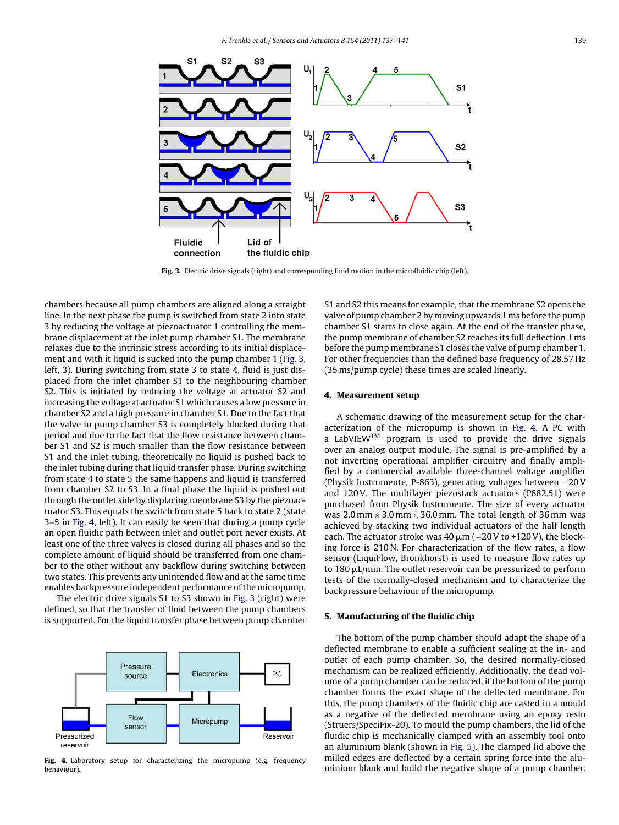<span id="page-2-0"></span>

Fig. 3. Electric drive signals (right) and corresponding fluid motion in the microfluidic chip (left).

chambers because all pump chambers are aligned along a straight line. In the next phase the pump is switched from state 2 into state 3 by reducing the voltage at piezoactuator 1 controlling the membrane displacement at the inlet pump chamber S1. The membrane relaxes due to the intrinsic stress according to its initial displacement and with it liquid is sucked into the pump chamber 1 (Fig. 3, left, 3). During switching from state 3 to state 4, fluid is just displaced from the inlet chamber S1 to the neighbouring chamber S2. This is initiated by reducing the voltage at actuator S2 and increasing the voltage at actuator S1 which causes a low pressure in chamber S2 and a high pressure in chamber S1. Due to the fact that the valve in pump chamber S3 is completely blocked during that period and due to the fact that the flow resistance between chamber S1 and S2 is much smaller than the flow resistance between S1 and the inlet tubing, theoretically no liquid is pushed back to the inlet tubing during that liquid transfer phase. During switching from state 4 to state 5 the same happens and liquid is transferred from chamber S2 to S3. In a final phase the liquid is pushed out through the outlet side by displacing membrane S3 by the piezoactuator S3. This equals the switch from state 5 back to state 2 (state 3–5 in Fig. 4, left). It can easily be seen that during a pump cycle an open fluidic path between inlet and outlet port never exists. At least one of the three valves is closed during all phases and so the complete amount of liquid should be transferred from one chamber to the other without any backflow during switching between two states. This prevents any unintended flow and at the same time enables backpressure independent performance of the micropump.

The electric drive signals S1 to S3 shown in Fig. 3 (right) were defined, so that the transfer of fluid between the pump chambers is supported. For the liquid transfer phase between pump chamber



Fig. 4. Laboratory setup for characterizing the micropump (e.g. frequency behaviour).

S1 and S2 this means for example, that the membrane S2 opens the valve of pump chamber 2 by moving upwards 1 ms before the pump chamber S1 starts to close again. At the end of the transfer phase, the pump membrane of chamber S2 reaches its full deflection 1 ms before the pump membrane S1 closes the valve of pump chamber 1. For other frequencies than the defined base frequency of 28.57 Hz (35 ms/pump cycle) these times are scaled linearly.

#### **4. Measurement setup**

A schematic drawing of the measurement setup for the characterization of the micropump is shown in Fig. 4. A PC with a LabVIEW<sup>TM</sup> program is used to provide the drive signals over an analog output module. The signal is pre-amplified by a not inverting operational amplifier circuitry and finally amplified by a commercial available three-channel voltage amplifier (Physik Instrumente, P-863), generating voltages between −20 V and 120V. The multilayer piezostack actuators (P882.51) were purchased from Physik Instrumente. The size of every actuator was  $2.0$  mm  $\times$   $3.0$  mm  $\times$   $36.0$  mm. The total length of  $36$  mm was achieved by stacking two individual actuators of the half length each. The actuator stroke was  $40 \,\mu\mathrm{m}$  ( $-20 \,\mathrm{V}$  to +120V), the blocking force is 210 N. For characterization of the flow rates, a flow sensor (LiquiFlow, Bronkhorst) is used to measure flow rates up to 180  $\mu$ L/min. The outlet reservoir can be pressurized to perform tests of the normally-closed mechanism and to characterize the backpressure behaviour of the micropump.

#### **5. Manufacturing of the fluidic chip**

The bottom of the pump chamber should adapt the shape of a deflected membrane to enable a sufficient sealing at the in- and outlet of each pump chamber. So, the desired normally-closed mechanism can be realized efficiently. Additionally, the dead volume of a pump chamber can be reduced, if the bottom of the pump chamber forms the exact shape of the deflected membrane. For this, the pump chambers of the fluidic chip are casted in a mould as a negative of the deflected membrane using an epoxy resin (Struers/SpeciFix-20). To mould the pump chambers, the lid of the fluidic chip is mechanically clamped with an assembly tool onto an aluminium blank (shown in [Fig. 5\).](#page-3-0) The clamped lid above the milled edges are deflected by a certain spring force into the aluminium blank and build the negative shape of a pump chamber.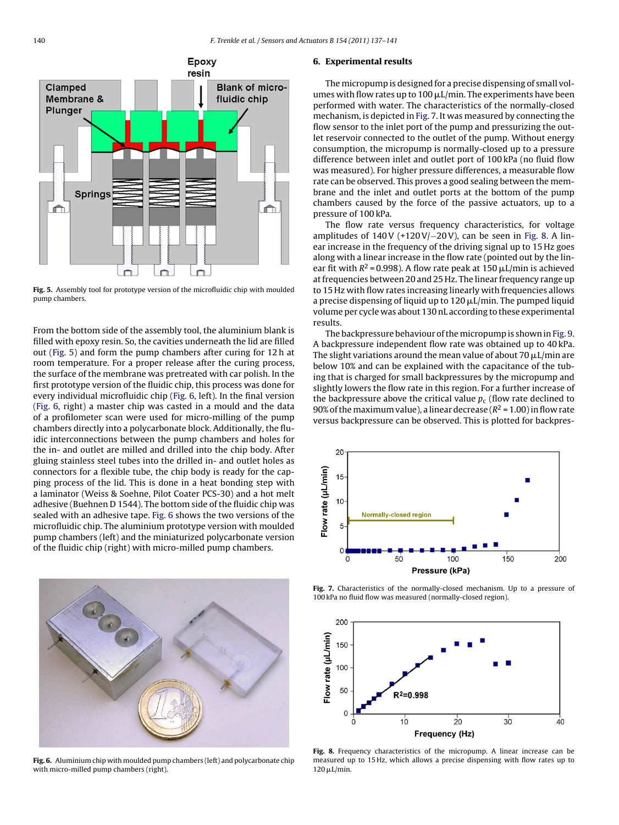<span id="page-3-0"></span>

**Fig. 5.** Assembly tool for prototype version of the microfluidic chip with moulded pump chambers.

From the bottom side of the assembly tool, the aluminium blank is filled with epoxy resin. So, the cavities underneath the lid are filled out (Fig. 5) and form the pump chambers after curing for 12 h at room temperature. For a proper release after the curing process, the surface of the membrane was pretreated with car polish. In the first prototype version of the fluidic chip, this process was done for every individual microfluidic chip (Fig. 6, left). In the final version (Fig. 6, right) a master chip was casted in a mould and the data of a profilometer scan were used for micro-milling of the pump chambers directly into a polycarbonate block. Additionally, the fluidic interconnections between the pump chambers and holes for the in- and outlet are milled and drilled into the chip body. After gluing stainless steel tubes into the drilled in- and outlet holes as connectors for a flexible tube, the chip body is ready for the capping process of the lid. This is done in a heat bonding step with a laminator (Weiss & Soehne, Pilot Coater PCS-30) and a hot melt adhesive (Buehnen D 1544). The bottom side of the fluidic chip was sealed with an adhesive tape. Fig. 6 shows the two versions of the microfluidic chip. The aluminium prototype version with moulded pump chambers (left) and the miniaturized polycarbonate version of the fluidic chip (right) with micro-milled pump chambers.



**Fig. 6.** Aluminium chip with moulded pump chambers (left) and polycarbonate chip with micro-milled pump chambers (right).

#### **6. Experimental results**

The micropump is designed for a precise dispensing of small volumes with flow rates up to 100  $\mu$ L/min. The experiments have been performed with water. The characteristics of the normally-closed mechanism, is depicted in Fig. 7. It was measured by connecting the flow sensor to the inlet port of the pump and pressurizing the outlet reservoir connected to the outlet of the pump. Without energy consumption, the micropump is normally-closed up to a pressure difference between inlet and outlet port of 100 kPa (no fluid flow was measured). For higher pressure differences, a measurable flow rate can be observed. This proves a good sealing between the membrane and the inlet and outlet ports at the bottom of the pump chambers caused by the force of the passive actuators, up to a pressure of 100 kPa.

The flow rate versus frequency characteristics, for voltage amplitudes of  $140V$  (+120 V/-20 V), can be seen in Fig. 8. A linear increase in the frequency of the driving signal up to 15 Hz goes along with a linear increase in the flow rate (pointed out by the linear fit with  $R^2$  = 0.998). A flow rate peak at 150  $\mu$ L/min is achieved at frequencies between 20 and 25 Hz. The linear frequency range up to 15 Hz with flow rates increasing linearly with frequencies allows a precise dispensing of liquid up to 120  $\mu$ L/min. The pumped liquid volume per cycle was about 130 nL according to these experimental results.

The backpressure behaviour of themicropump is shown in [Fig. 9.](#page-4-0) A backpressure independent flow rate was obtained up to 40 kPa. The slight variations around the mean value of about 70  $\mu$ L/min are below 10% and can be explained with the capacitance of the tubing that is charged for small backpressures by the micropump and slightly lowers the flow rate in this region. For a further increase of the backpressure above the critical value  $p_c$  (flow rate declined to 90% of the maximum value), a linear decrease ( $R^2$  = 1.00) in flow rate versus backpressure can be observed. This is plotted for backpres-



**Fig. 7.** Characteristics of the normally-closed mechanism. Up to a pressure of 100 kPa no fluid flow was measured (normally-closed region).



**Fig. 8.** Frequency characteristics of the micropump. A linear increase can be measured up to 15 Hz, which allows a precise dispensing with flow rates up to  $120 \mu L/min$ .